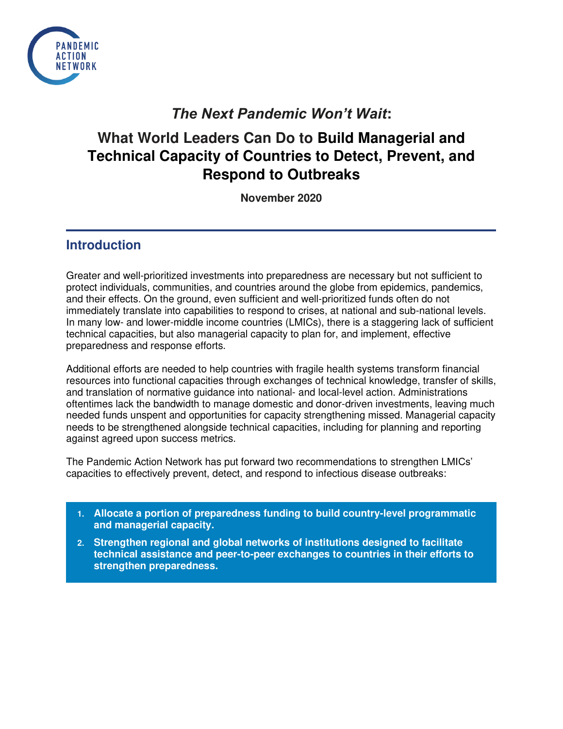

## *The Next Pandemic Won't Wait***:**

# **What World Leaders Can Do to Build Managerial and Technical Capacity of Countries to Detect, Prevent, and Respond to Outbreaks**

**November 2020** 

### **Introduction**

Greater and well-prioritized investments into preparedness are necessary but not sufficient to protect individuals, communities, and countries around the globe from epidemics, pandemics, and their effects. On the ground, even sufficient and well-prioritized funds often do not immediately translate into capabilities to respond to crises, at national and sub-national levels. In many low- and lower-middle income countries (LMICs), there is a staggering lack of sufficient technical capacities, but also managerial capacity to plan for, and implement, effective preparedness and response efforts.

Additional efforts are needed to help countries with fragile health systems transform financial resources into functional capacities through exchanges of technical knowledge, transfer of skills, and translation of normative guidance into national- and local-level action. Administrations oftentimes lack the bandwidth to manage domestic and donor-driven investments, leaving much needed funds unspent and opportunities for capacity strengthening missed. Managerial capacity needs to be strengthened alongside technical capacities, including for planning and reporting against agreed upon success metrics.

The Pandemic Action Network has put forward two recommendations to strengthen LMICs' capacities to effectively prevent, detect, and respond to infectious disease outbreaks:

- **1. Allocate a portion of preparedness funding to build country-level programmatic and managerial capacity.**
- **2. Strengthen regional and global networks of institutions designed to facilitate technical assistance and peer-to-peer exchanges to countries in their efforts to strengthen preparedness.**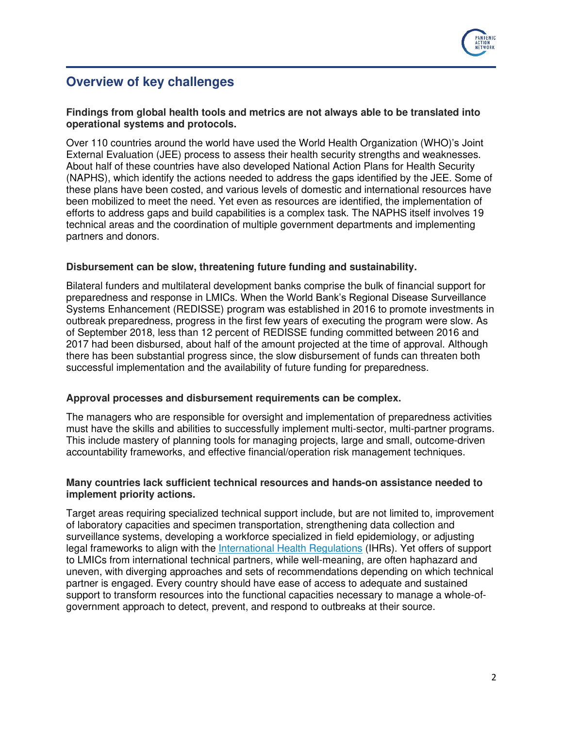

### **Overview of key challenges**

#### **Findings from global health tools and metrics are not always able to be translated into operational systems and protocols.**

Over 110 countries around the world have used the World Health Organization (WHO)'s Joint External Evaluation (JEE) process to assess their health security strengths and weaknesses. About half of these countries have also developed National Action Plans for Health Security (NAPHS), which identify the actions needed to address the gaps identified by the JEE. Some of these plans have been costed, and various levels of domestic and international resources have been mobilized to meet the need. Yet even as resources are identified, the implementation of efforts to address gaps and build capabilities is a complex task. The NAPHS itself involves 19 technical areas and the coordination of multiple government departments and implementing partners and donors.

#### **Disbursement can be slow, threatening future funding and sustainability.**

Bilateral funders and multilateral development banks comprise the bulk of financial support for preparedness and response in LMICs. When the World Bank's Regional Disease Surveillance Systems Enhancement (REDISSE) program was established in 2016 to promote investments in outbreak preparedness, progress in the first few years of executing the program were slow. As of September 2018, less than 12 percent of REDISSE funding committed between 2016 and 2017 had been disbursed, about half of the amount projected at the time of approval. Although there has been substantial progress since, the slow disbursement of funds can threaten both successful implementation and the availability of future funding for preparedness.

#### **Approval processes and disbursement requirements can be complex.**

The managers who are responsible for oversight and implementation of preparedness activities must have the skills and abilities to successfully implement multi-sector, multi-partner programs. This include mastery of planning tools for managing projects, large and small, outcome-driven accountability frameworks, and effective financial/operation risk management techniques.

#### **Many countries lack sufficient technical resources and hands-on assistance needed to implement priority actions.**

Target areas requiring specialized technical support include, but are not limited to, improvement of laboratory capacities and specimen transportation, strengthening data collection and surveillance systems, developing a workforce specialized in field epidemiology, or adjusting legal frameworks to align with the [International Health Regulations](https://www.who.int/health-topics/international-health-regulations#tab=tab_1) (IHRs). Yet offers of support to LMICs from international technical partners, while well-meaning, are often haphazard and uneven, with diverging approaches and sets of recommendations depending on which technical partner is engaged. Every country should have ease of access to adequate and sustained support to transform resources into the functional capacities necessary to manage a whole-ofgovernment approach to detect, prevent, and respond to outbreaks at their source.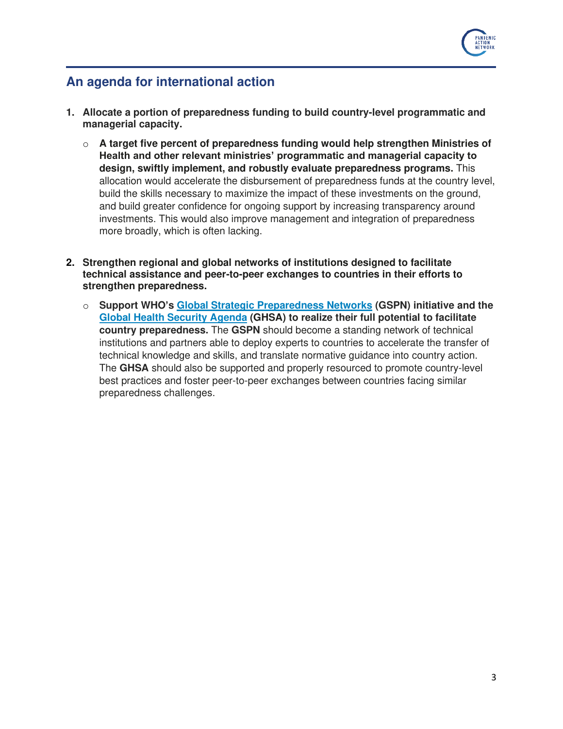

### **An agenda for international action**

- **1. Allocate a portion of preparedness funding to build country-level programmatic and managerial capacity.** 
	- o **A target five percent of preparedness funding would help strengthen Ministries of Health and other relevant ministries' programmatic and managerial capacity to design, swiftly implement, and robustly evaluate preparedness programs.** This allocation would accelerate the disbursement of preparedness funds at the country level, build the skills necessary to maximize the impact of these investments on the ground, and build greater confidence for ongoing support by increasing transparency around investments. This would also improve management and integration of preparedness more broadly, which is often lacking.
- **2. Strengthen regional and global networks of institutions designed to facilitate technical assistance and peer-to-peer exchanges to countries in their efforts to strengthen preparedness.**
	- o **Support WHO's [Global Strategic Preparedness Networks](https://www.alliancehsc.org/joint-external-evaluation/strategic-partnership-for-international-health-regulations-2005/) (GSPN) initiative and the [Global Health Security Agenda](https://ghsagenda.org/) (GHSA) to realize their full potential to facilitate country preparedness.** The **GSPN** should become a standing network of technical institutions and partners able to deploy experts to countries to accelerate the transfer of technical knowledge and skills, and translate normative guidance into country action. The **GHSA** should also be supported and properly resourced to promote country-level best practices and foster peer-to-peer exchanges between countries facing similar preparedness challenges.